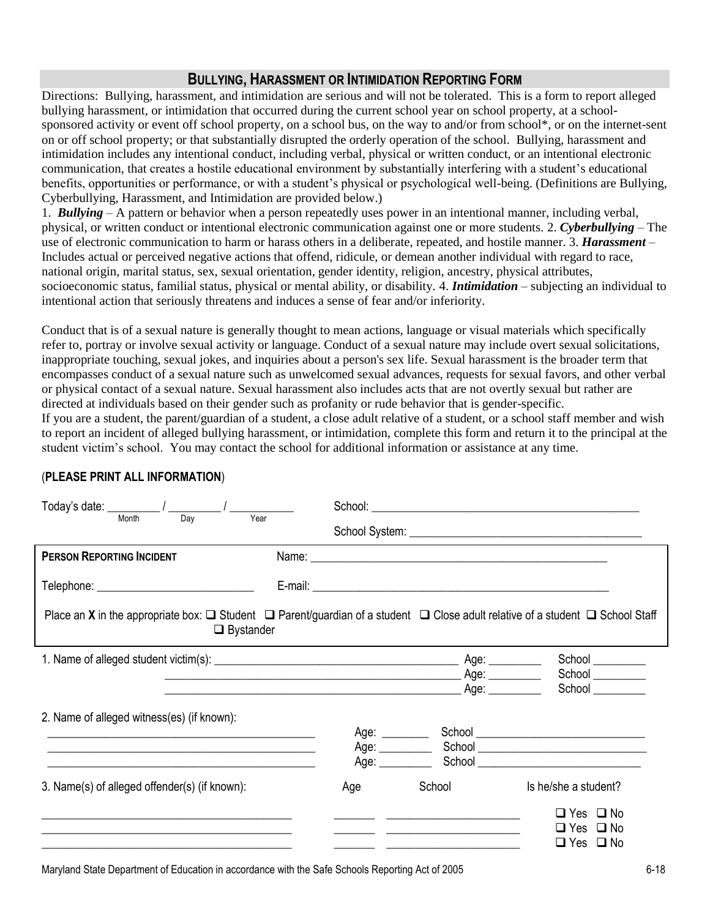## **BULLYING, HARASSMENT OR INTIMIDATION REPORTING FORM**

Directions: Bullying, harassment, and intimidation are serious and will not be tolerated. This is a form to report alleged bullying harassment, or intimidation that occurred during the current school year on school property, at a schoolsponsored activity or event off school property, on a school bus, on the way to and/or from school\*, or on the internet-sent on or off school property; or that substantially disrupted the orderly operation of the school. Bullying, harassment and intimidation includes any intentional conduct, including verbal, physical or written conduct, or an intentional electronic communication, that creates a hostile educational environment by substantially interfering with a student's educational benefits, opportunities or performance, or with a student's physical or psychological well-being. (Definitions are Bullying, Cyberbullying, Harassment, and Intimidation are provided below.)

1. *Bullying –* A pattern or behavior when a person repeatedly uses power in an intentional manner, including verbal, physical, or written conduct or intentional electronic communication against one or more students. 2. *Cyberbullying* – The use of electronic communication to harm or harass others in a deliberate, repeated, and hostile manner. 3. *Harassment –* Includes actual or perceived negative actions that offend, ridicule, or demean another individual with regard to race, national origin, marital status, sex, sexual orientation, gender identity, religion, ancestry, physical attributes, socioeconomic status, familial status, physical or mental ability, or disability. 4. *Intimidation* – subjecting an individual to intentional action that seriously threatens and induces a sense of fear and/or inferiority.

Conduct that is of a sexual nature is generally thought to mean actions, language or visual materials which specifically refer to, portray or involve sexual activity or language. Conduct of a sexual nature may include overt sexual solicitations, inappropriate touching, sexual jokes, and inquiries about a person's sex life. Sexual harassment is the broader term that encompasses conduct of a sexual nature such as unwelcomed sexual advances, requests for sexual favors, and other verbal or physical contact of a sexual nature. Sexual harassment also includes acts that are not overtly sexual but rather are directed at individuals based on their gender such as profanity or rude behavior that is gender-specific. If you are a student, the parent/guardian of a student, a close adult relative of a student, or a school staff member and wish to report an incident of alleged bullying harassment, or intimidation, complete this form and return it to the principal at the

student victim's school. You may contact the school for additional information or assistance at any time.

| Month<br>Year<br>Dav                                                                                                                                                          |                                  |                      |                                                            |  |  |  |  |  |  |  |
|-------------------------------------------------------------------------------------------------------------------------------------------------------------------------------|----------------------------------|----------------------|------------------------------------------------------------|--|--|--|--|--|--|--|
| <b>PERSON REPORTING INCIDENT</b>                                                                                                                                              |                                  |                      |                                                            |  |  |  |  |  |  |  |
| Telephone: _________________________________                                                                                                                                  |                                  |                      |                                                            |  |  |  |  |  |  |  |
| Place an <b>X</b> in the appropriate box: $\Box$ Student $\Box$ Parent/guardian of a student $\Box$ Close adult relative of a student $\Box$ School Staff<br>$\Box$ Bystander |                                  |                      |                                                            |  |  |  |  |  |  |  |
|                                                                                                                                                                               |                                  |                      | School ________                                            |  |  |  |  |  |  |  |
|                                                                                                                                                                               |                                  | Age: $\qquad \qquad$ | School ________<br>School                                  |  |  |  |  |  |  |  |
| 2. Name of alleged witness(es) (if known):                                                                                                                                    |                                  |                      |                                                            |  |  |  |  |  |  |  |
|                                                                                                                                                                               | Age: ________                    |                      |                                                            |  |  |  |  |  |  |  |
| and the control of the control of the control of the control of the control of the control of the control of the                                                              | Age: _________<br>Age: _________ |                      | School <u>Communication</u>                                |  |  |  |  |  |  |  |
| 3. Name(s) of alleged offender(s) (if known):                                                                                                                                 | Age                              | School               | Is he/she a student?                                       |  |  |  |  |  |  |  |
|                                                                                                                                                                               |                                  |                      | $\Box$ Yes $\Box$ No<br>□ Yes □ No<br>$\Box$ Yes $\Box$ No |  |  |  |  |  |  |  |

## (**PLEASE PRINT ALL INFORMATION**)